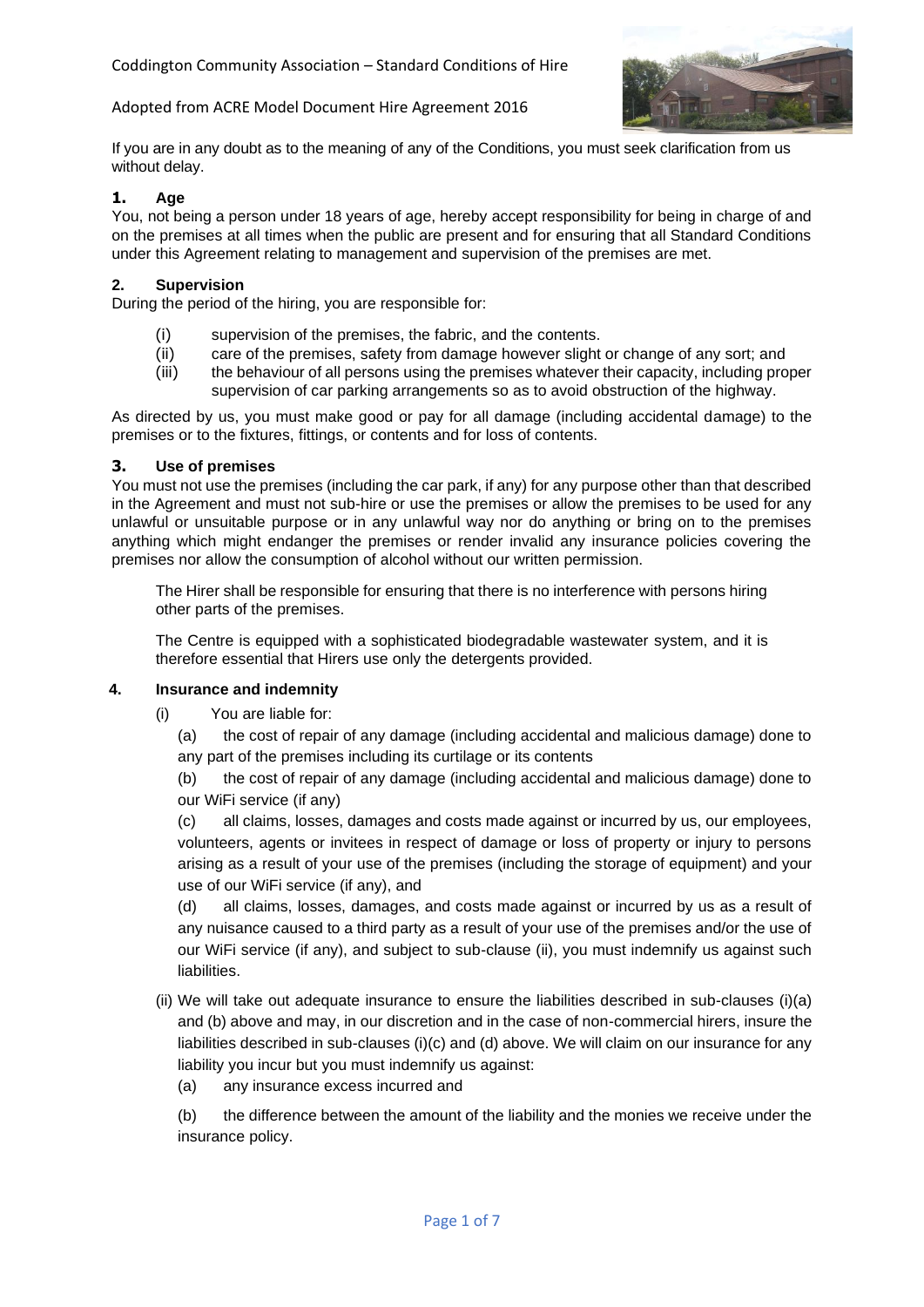

If you are in any doubt as to the meaning of any of the Conditions, you must seek clarification from us without delay.

## **1. Age**

You, not being a person under 18 years of age, hereby accept responsibility for being in charge of and on the premises at all times when the public are present and for ensuring that all Standard Conditions under this Agreement relating to management and supervision of the premises are met.

#### **2. Supervision**

During the period of the hiring, you are responsible for:

- (i) supervision of the premises, the fabric, and the contents.
- (ii) care of the premises, safety from damage however slight or change of any sort; and
- (iii) the behaviour of all persons using the premises whatever their capacity, including proper supervision of car parking arrangements so as to avoid obstruction of the highway.

As directed by us, you must make good or pay for all damage (including accidental damage) to the premises or to the fixtures, fittings, or contents and for loss of contents.

#### **3. Use of premises**

You must not use the premises (including the car park, if any) for any purpose other than that described in the Agreement and must not sub-hire or use the premises or allow the premises to be used for any unlawful or unsuitable purpose or in any unlawful way nor do anything or bring on to the premises anything which might endanger the premises or render invalid any insurance policies covering the premises nor allow the consumption of alcohol without our written permission.

The Hirer shall be responsible for ensuring that there is no interference with persons hiring other parts of the premises.

The Centre is equipped with a sophisticated biodegradable wastewater system, and it is therefore essential that Hirers use only the detergents provided.

#### **4. Insurance and indemnity**

- (i) You are liable for:
	- (a) the cost of repair of any damage (including accidental and malicious damage) done to any part of the premises including its curtilage or its contents
	- (b) the cost of repair of any damage (including accidental and malicious damage) done to our WiFi service (if any)

(c) all claims, losses, damages and costs made against or incurred by us, our employees, volunteers, agents or invitees in respect of damage or loss of property or injury to persons arising as a result of your use of the premises (including the storage of equipment) and your use of our WiFi service (if any), and

(d) all claims, losses, damages, and costs made against or incurred by us as a result of any nuisance caused to a third party as a result of your use of the premises and/or the use of our WiFi service (if any), and subject to sub-clause (ii), you must indemnify us against such liabilities.

- (ii) We will take out adequate insurance to ensure the liabilities described in sub-clauses (i)(a) and (b) above and may, in our discretion and in the case of non-commercial hirers, insure the liabilities described in sub-clauses (i)(c) and (d) above. We will claim on our insurance for any liability you incur but you must indemnify us against:
	- (a) any insurance excess incurred and

(b) the difference between the amount of the liability and the monies we receive under the insurance policy.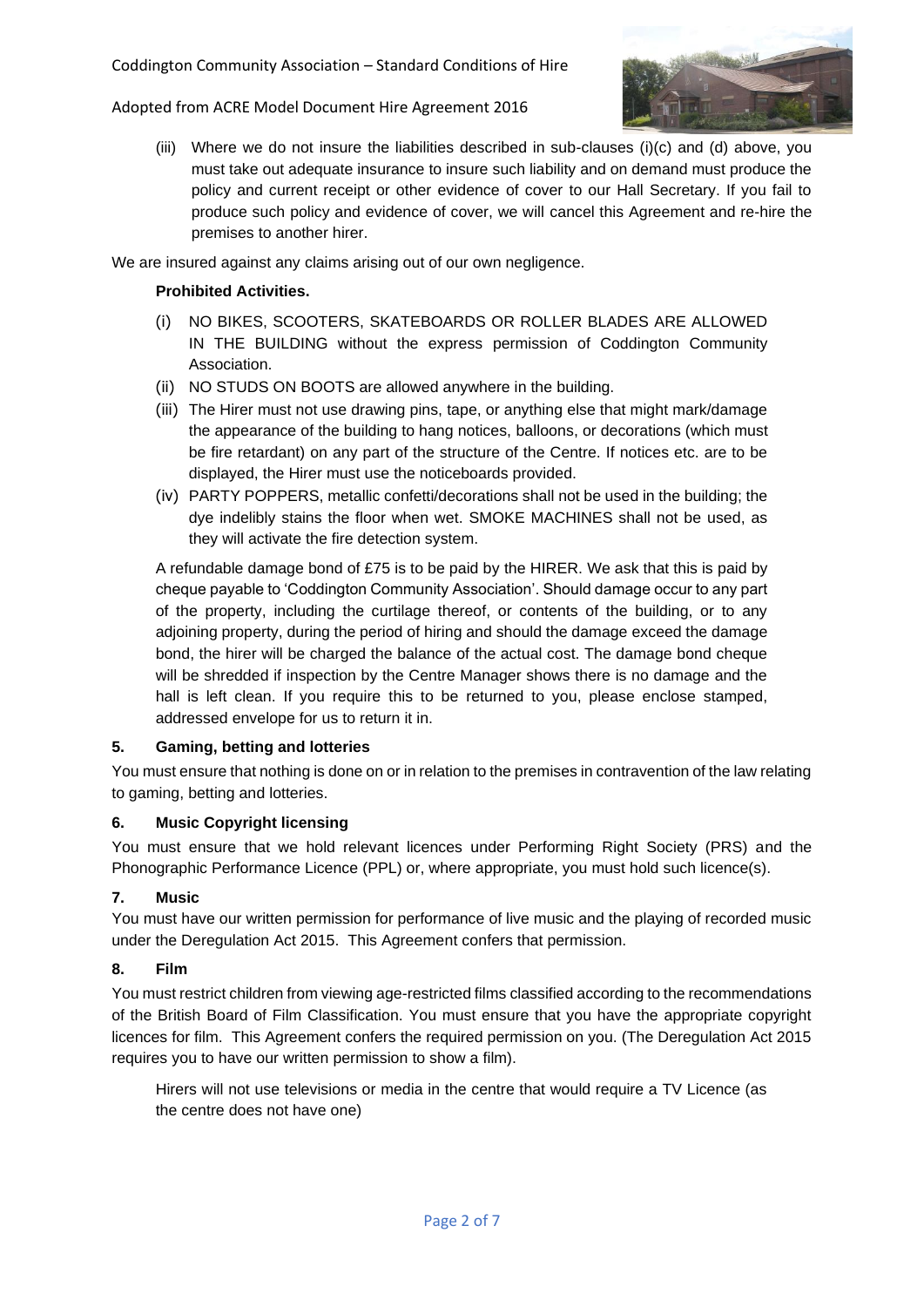

(iii) Where we do not insure the liabilities described in sub-clauses (i)(c) and (d) above, you must take out adequate insurance to insure such liability and on demand must produce the policy and current receipt or other evidence of cover to our Hall Secretary. If you fail to produce such policy and evidence of cover, we will cancel this Agreement and re-hire the premises to another hirer.

We are insured against any claims arising out of our own negligence.

## **Prohibited Activities.**

- (i) NO BIKES, SCOOTERS, SKATEBOARDS OR ROLLER BLADES ARE ALLOWED IN THE BUILDING without the express permission of Coddington Community Association.
- (ii) NO STUDS ON BOOTS are allowed anywhere in the building.
- (iii) The Hirer must not use drawing pins, tape, or anything else that might mark/damage the appearance of the building to hang notices, balloons, or decorations (which must be fire retardant) on any part of the structure of the Centre. If notices etc. are to be displayed, the Hirer must use the noticeboards provided.
- (iv) PARTY POPPERS, metallic confetti/decorations shall not be used in the building; the dye indelibly stains the floor when wet. SMOKE MACHINES shall not be used, as they will activate the fire detection system.

A refundable damage bond of £75 is to be paid by the HIRER. We ask that this is paid by cheque payable to 'Coddington Community Association'. Should damage occur to any part of the property, including the curtilage thereof, or contents of the building, or to any adjoining property, during the period of hiring and should the damage exceed the damage bond, the hirer will be charged the balance of the actual cost. The damage bond cheque will be shredded if inspection by the Centre Manager shows there is no damage and the hall is left clean. If you require this to be returned to you, please enclose stamped, addressed envelope for us to return it in.

### **5. Gaming, betting and lotteries**

You must ensure that nothing is done on or in relation to the premises in contravention of the law relating to gaming, betting and lotteries.

### **6. Music Copyright licensing**

You must ensure that we hold relevant licences under Performing Right Society (PRS) and the Phonographic Performance Licence (PPL) or, where appropriate, you must hold such licence(s).

# **7. Music**

You must have our written permission for performance of live music and the playing of recorded music under the Deregulation Act 2015. This Agreement confers that permission.

# **8. Film**

You must restrict children from viewing age-restricted films classified according to the recommendations of the British Board of Film Classification. You must ensure that you have the appropriate copyright licences for film. This Agreement confers the required permission on you. (The Deregulation Act 2015 requires you to have our written permission to show a film).

Hirers will not use televisions or media in the centre that would require a TV Licence (as the centre does not have one)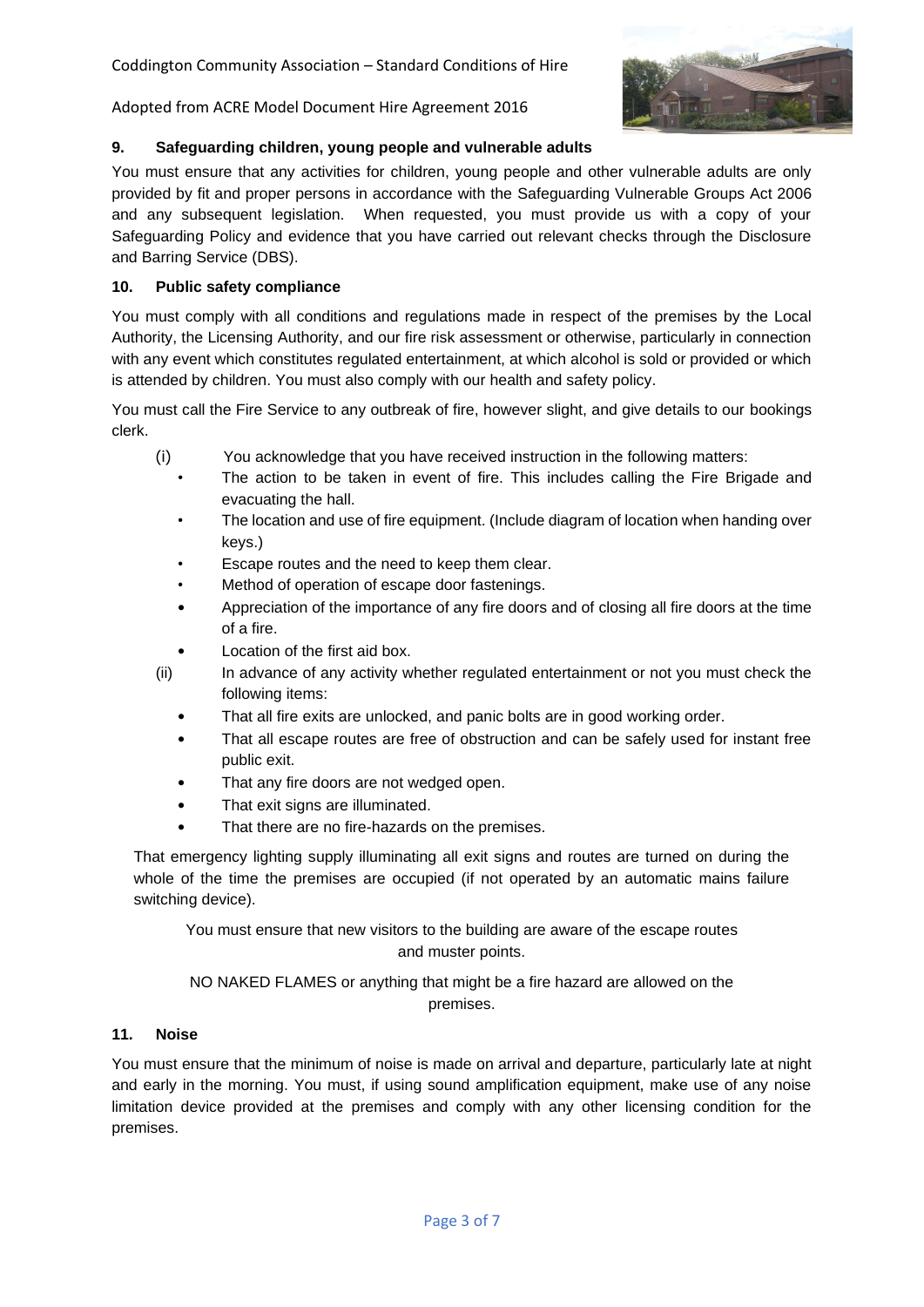

# **9. Safeguarding children, young people and vulnerable adults**

You must ensure that any activities for children, young people and other vulnerable adults are only provided by fit and proper persons in accordance with the Safeguarding Vulnerable Groups Act 2006 and any subsequent legislation. When requested, you must provide us with a copy of your Safeguarding Policy and evidence that you have carried out relevant checks through the Disclosure and Barring Service (DBS).

## **10. Public safety compliance**

You must comply with all conditions and regulations made in respect of the premises by the Local Authority, the Licensing Authority, and our fire risk assessment or otherwise, particularly in connection with any event which constitutes regulated entertainment, at which alcohol is sold or provided or which is attended by children. You must also comply with our health and safety policy.

You must call the Fire Service to any outbreak of fire, however slight, and give details to our bookings clerk.

- (i) You acknowledge that you have received instruction in the following matters:
	- The action to be taken in event of fire. This includes calling the Fire Brigade and evacuating the hall.
	- The location and use of fire equipment. (Include diagram of location when handing over keys.)
	- Escape routes and the need to keep them clear.
	- Method of operation of escape door fastenings.
	- Appreciation of the importance of any fire doors and of closing all fire doors at the time of a fire.
	- Location of the first aid box.
- (ii) In advance of any activity whether regulated entertainment or not you must check the following items:
	- That all fire exits are unlocked, and panic bolts are in good working order.
	- That all escape routes are free of obstruction and can be safely used for instant free public exit.
	- That any fire doors are not wedged open.
	- That exit signs are illuminated.
	- That there are no fire-hazards on the premises.

That emergency lighting supply illuminating all exit signs and routes are turned on during the whole of the time the premises are occupied (if not operated by an automatic mains failure switching device).

You must ensure that new visitors to the building are aware of the escape routes and muster points.

NO NAKED FLAMES or anything that might be a fire hazard are allowed on the premises.

## **11. Noise**

You must ensure that the minimum of noise is made on arrival and departure, particularly late at night and early in the morning. You must, if using sound amplification equipment, make use of any noise limitation device provided at the premises and comply with any other licensing condition for the premises.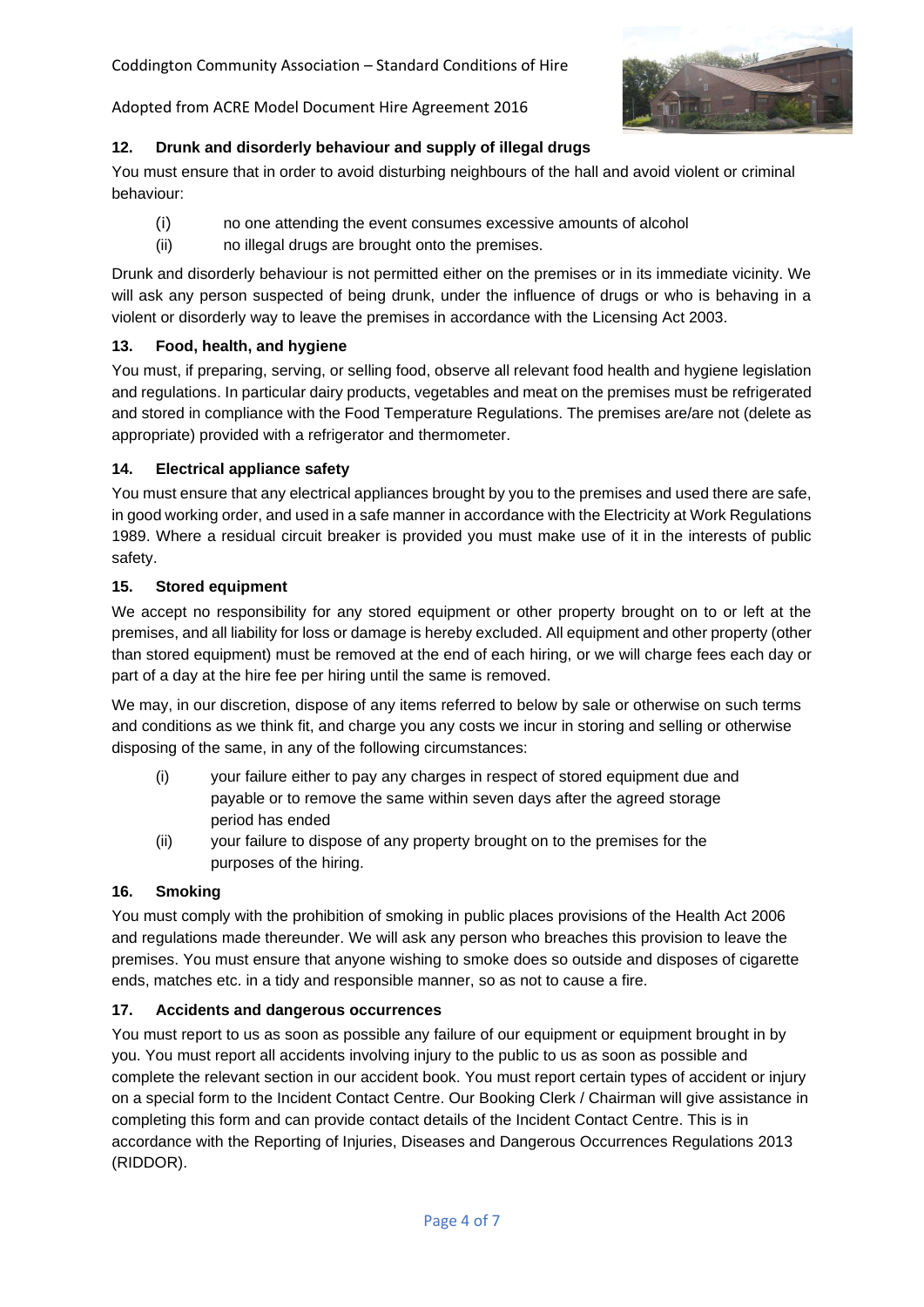

## **12. Drunk and disorderly behaviour and supply of illegal drugs**

You must ensure that in order to avoid disturbing neighbours of the hall and avoid violent or criminal behaviour:

- (i) no one attending the event consumes excessive amounts of alcohol
- (ii) no illegal drugs are brought onto the premises.

Drunk and disorderly behaviour is not permitted either on the premises or in its immediate vicinity. We will ask any person suspected of being drunk, under the influence of drugs or who is behaving in a violent or disorderly way to leave the premises in accordance with the Licensing Act 2003.

## **13. Food, health, and hygiene**

You must, if preparing, serving, or selling food, observe all relevant food health and hygiene legislation and regulations. In particular dairy products, vegetables and meat on the premises must be refrigerated and stored in compliance with the Food Temperature Regulations. The premises are/are not (delete as appropriate) provided with a refrigerator and thermometer.

### **14. Electrical appliance safety**

You must ensure that any electrical appliances brought by you to the premises and used there are safe, in good working order, and used in a safe manner in accordance with the Electricity at Work Regulations 1989. Where a residual circuit breaker is provided you must make use of it in the interests of public safety.

### **15. Stored equipment**

We accept no responsibility for any stored equipment or other property brought on to or left at the premises, and all liability for loss or damage is hereby excluded. All equipment and other property (other than stored equipment) must be removed at the end of each hiring, or we will charge fees each day or part of a day at the hire fee per hiring until the same is removed.

We may, in our discretion, dispose of any items referred to below by sale or otherwise on such terms and conditions as we think fit, and charge you any costs we incur in storing and selling or otherwise disposing of the same, in any of the following circumstances:

- (i) your failure either to pay any charges in respect of stored equipment due and payable or to remove the same within seven days after the agreed storage period has ended
- (ii) your failure to dispose of any property brought on to the premises for the purposes of the hiring.

### **16. Smoking**

You must comply with the prohibition of smoking in public places provisions of the Health Act 2006 and regulations made thereunder. We will ask any person who breaches this provision to leave the premises. You must ensure that anyone wishing to smoke does so outside and disposes of cigarette ends, matches etc. in a tidy and responsible manner, so as not to cause a fire.

### **17. Accidents and dangerous occurrences**

You must report to us as soon as possible any failure of our equipment or equipment brought in by you. You must report all accidents involving injury to the public to us as soon as possible and complete the relevant section in our accident book. You must report certain types of accident or injury on a special form to the Incident Contact Centre. Our Booking Clerk / Chairman will give assistance in completing this form and can provide contact details of the Incident Contact Centre. This is in accordance with the Reporting of Injuries, Diseases and Dangerous Occurrences Regulations 2013 (RIDDOR).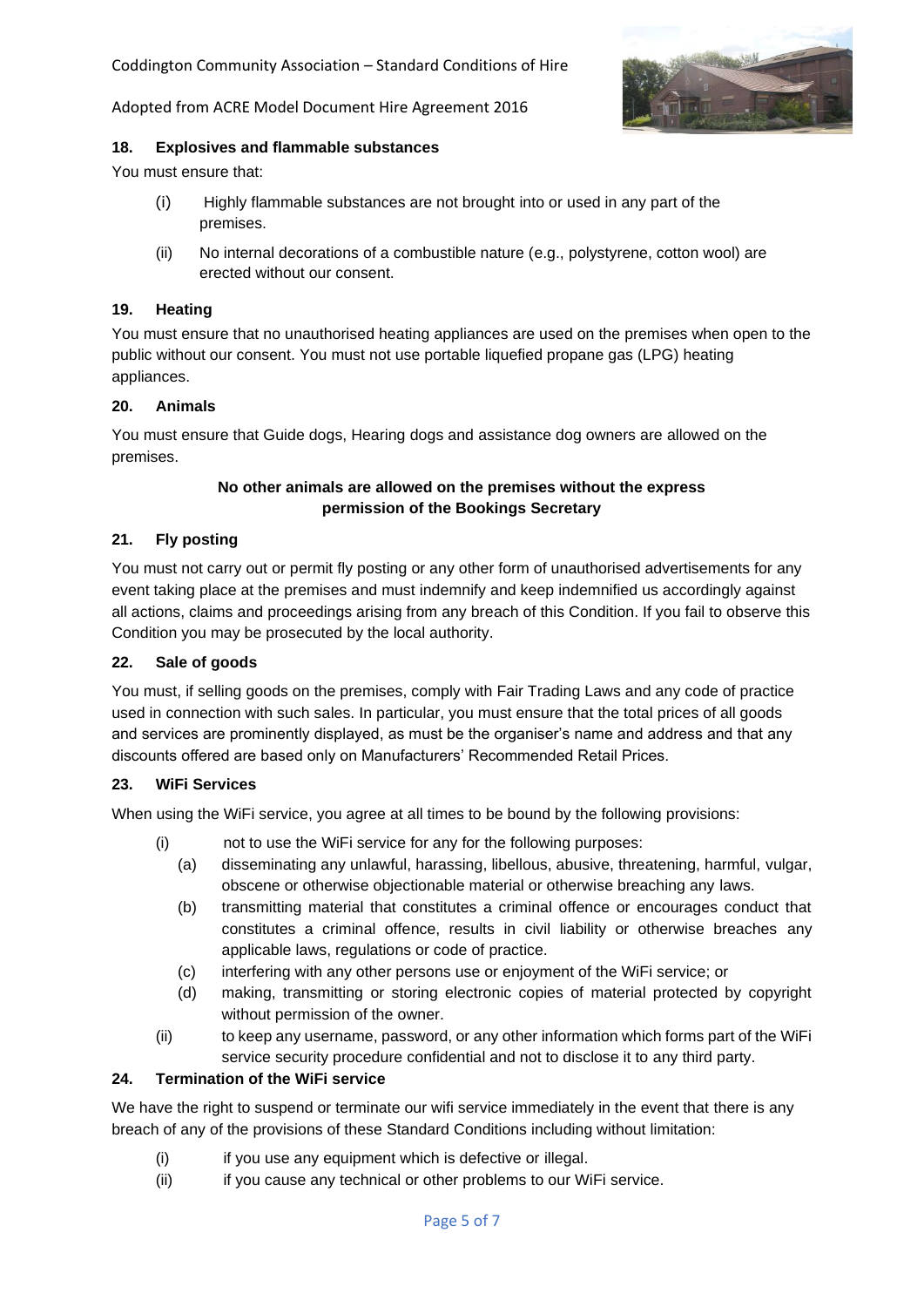Coddington Community Association – Standard Conditions of Hire



Adopted from ACRE Model Document Hire Agreement 2016

#### **18. Explosives and flammable substances**

You must ensure that:

- (i) Highly flammable substances are not brought into or used in any part of the premises.
- (ii) No internal decorations of a combustible nature (e.g., polystyrene, cotton wool) are erected without our consent.

#### **19. Heating**

You must ensure that no unauthorised heating appliances are used on the premises when open to the public without our consent. You must not use portable liquefied propane gas (LPG) heating appliances.

#### **20. Animals**

You must ensure that Guide dogs, Hearing dogs and assistance dog owners are allowed on the premises.

## **No other animals are allowed on the premises without the express permission of the Bookings Secretary**

#### **21. Fly posting**

You must not carry out or permit fly posting or any other form of unauthorised advertisements for any event taking place at the premises and must indemnify and keep indemnified us accordingly against all actions, claims and proceedings arising from any breach of this Condition. If you fail to observe this Condition you may be prosecuted by the local authority.

#### **22. Sale of goods**

You must, if selling goods on the premises, comply with Fair Trading Laws and any code of practice used in connection with such sales. In particular, you must ensure that the total prices of all goods and services are prominently displayed, as must be the organiser's name and address and that any discounts offered are based only on Manufacturers' Recommended Retail Prices.

#### **23. WiFi Services**

When using the WiFi service, you agree at all times to be bound by the following provisions:

- (i) not to use the WiFi service for any for the following purposes:
	- (a) disseminating any unlawful, harassing, libellous, abusive, threatening, harmful, vulgar, obscene or otherwise objectionable material or otherwise breaching any laws.
	- (b) transmitting material that constitutes a criminal offence or encourages conduct that constitutes a criminal offence, results in civil liability or otherwise breaches any applicable laws, regulations or code of practice.
	- (c) interfering with any other persons use or enjoyment of the WiFi service; or
	- (d) making, transmitting or storing electronic copies of material protected by copyright without permission of the owner.
- (ii) to keep any username, password, or any other information which forms part of the WiFi service security procedure confidential and not to disclose it to any third party.

### **24. Termination of the WiFi service**

We have the right to suspend or terminate our wifi service immediately in the event that there is any breach of any of the provisions of these Standard Conditions including without limitation:

- (i) if you use any equipment which is defective or illegal.
- (ii) if you cause any technical or other problems to our WiFi service.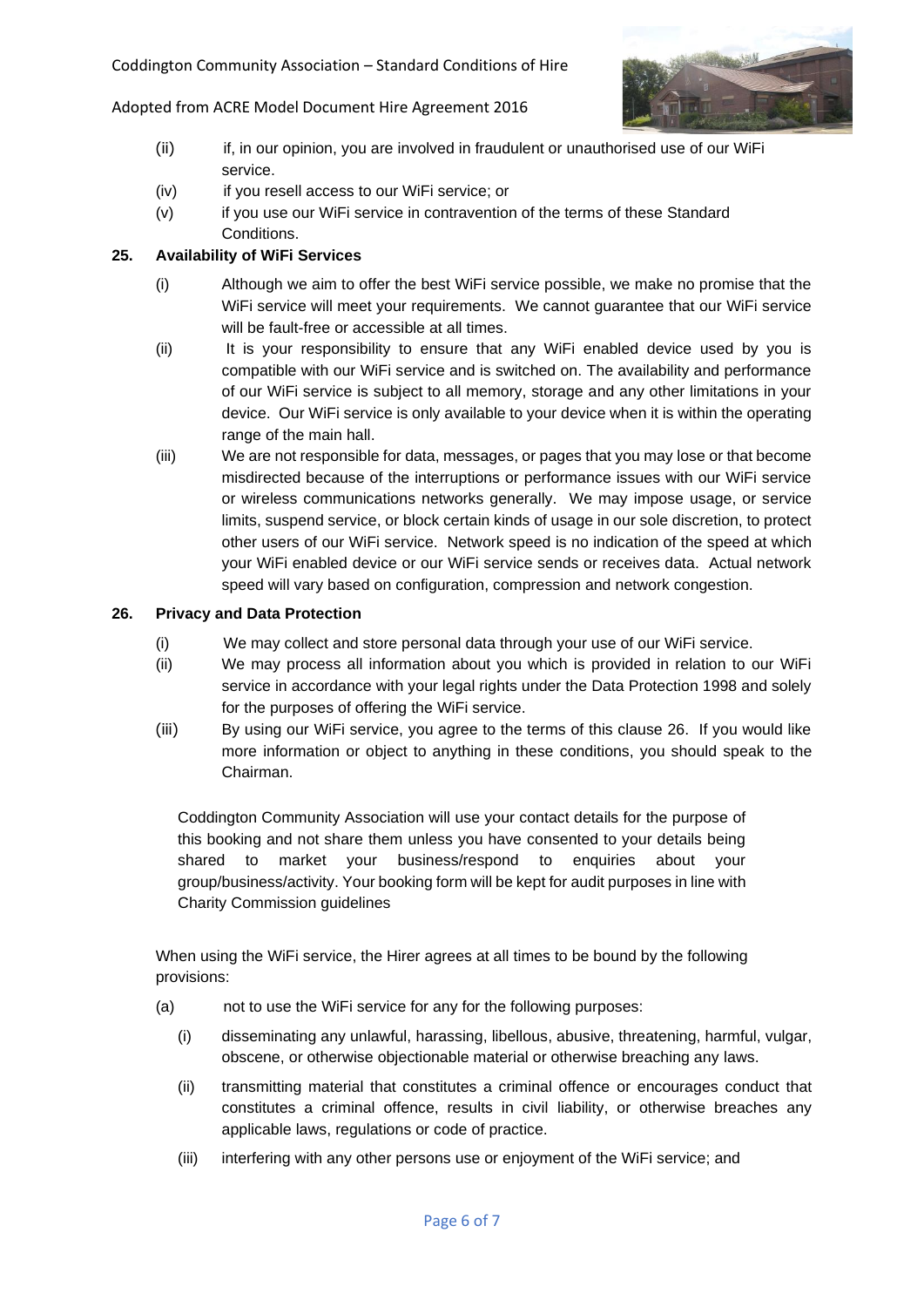

- (ii) if, in our opinion, you are involved in fraudulent or unauthorised use of our WiFi service.
- (iv) if you resell access to our WiFi service; or
- (v) if you use our WiFi service in contravention of the terms of these Standard Conditions.

## **25. Availability of WiFi Services**

- (i) Although we aim to offer the best WiFi service possible, we make no promise that the WiFi service will meet your requirements. We cannot guarantee that our WiFi service will be fault-free or accessible at all times.
- (ii) It is your responsibility to ensure that any WiFi enabled device used by you is compatible with our WiFi service and is switched on. The availability and performance of our WiFi service is subject to all memory, storage and any other limitations in your device. Our WiFi service is only available to your device when it is within the operating range of the main hall.
- (iii) We are not responsible for data, messages, or pages that you may lose or that become misdirected because of the interruptions or performance issues with our WiFi service or wireless communications networks generally. We may impose usage, or service limits, suspend service, or block certain kinds of usage in our sole discretion, to protect other users of our WiFi service. Network speed is no indication of the speed at which your WiFi enabled device or our WiFi service sends or receives data. Actual network speed will vary based on configuration, compression and network congestion.

### **26. Privacy and Data Protection**

- (i) We may collect and store personal data through your use of our WiFi service.
- (ii) We may process all information about you which is provided in relation to our WiFi service in accordance with your legal rights under the Data Protection 1998 and solely for the purposes of offering the WiFi service.
- (iii) By using our WiFi service, you agree to the terms of this clause 26. If you would like more information or object to anything in these conditions, you should speak to the Chairman.

Coddington Community Association will use your contact details for the purpose of this booking and not share them unless you have consented to your details being shared to market your business/respond to enquiries about your group/business/activity. Your booking form will be kept for audit purposes in line with Charity Commission guidelines

When using the WiFi service, the Hirer agrees at all times to be bound by the following provisions:

- (a) not to use the WiFi service for any for the following purposes:
	- (i) disseminating any unlawful, harassing, libellous, abusive, threatening, harmful, vulgar, obscene, or otherwise objectionable material or otherwise breaching any laws.
	- (ii) transmitting material that constitutes a criminal offence or encourages conduct that constitutes a criminal offence, results in civil liability, or otherwise breaches any applicable laws, regulations or code of practice.
	- (iii) interfering with any other persons use or enjoyment of the WiFi service; and